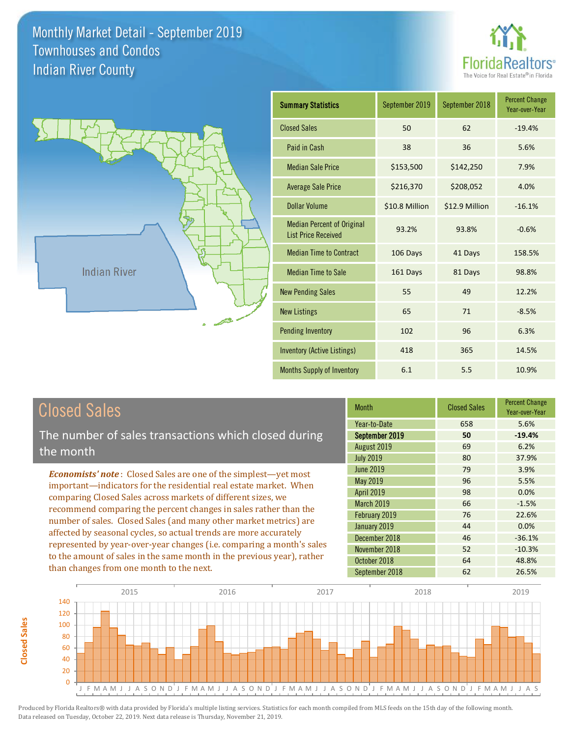



| <b>Summary Statistics</b>                                       | September 2019 | September 2018 | <b>Percent Change</b><br>Year-over-Year |
|-----------------------------------------------------------------|----------------|----------------|-----------------------------------------|
| <b>Closed Sales</b>                                             | 50             | 62             | $-19.4%$                                |
| Paid in Cash                                                    | 38             | 36             | 5.6%                                    |
| <b>Median Sale Price</b>                                        | \$153,500      | \$142,250      | 7.9%                                    |
| <b>Average Sale Price</b>                                       | \$216,370      | \$208,052      | 4.0%                                    |
| <b>Dollar Volume</b>                                            | \$10.8 Million | \$12.9 Million | $-16.1%$                                |
| <b>Median Percent of Original</b><br><b>List Price Received</b> | 93.2%          | 93.8%          | $-0.6%$                                 |
| <b>Median Time to Contract</b>                                  | 106 Days       | 41 Days        | 158.5%                                  |
| <b>Median Time to Sale</b>                                      | 161 Days       | 81 Days        | 98.8%                                   |
| <b>New Pending Sales</b>                                        | 55             | 49             | 12.2%                                   |
| <b>New Listings</b>                                             | 65             | 71             | $-8.5%$                                 |
| <b>Pending Inventory</b>                                        | 102            | 96             | 6.3%                                    |
| <b>Inventory (Active Listings)</b>                              | 418            | 365            | 14.5%                                   |
| Months Supply of Inventory                                      | 6.1            | 5.5            | 10.9%                                   |

| <b>Closed Sales</b> |
|---------------------|
|---------------------|

**Closed Sales**

**Closed Sales** 

The number of sales transactions which closed during the month

*Economists' note* : Closed Sales are one of the simplest—yet most important—indicators for the residential real estate market. When comparing Closed Sales across markets of different sizes, we recommend comparing the percent changes in sales rather than the number of sales. Closed Sales (and many other market metrics) are affected by seasonal cycles, so actual trends are more accurately represented by year-over-year changes (i.e. comparing a month's sales to the amount of sales in the same month in the previous year), rather than changes from one month to the next.

| <b>Month</b>      | <b>Closed Sales</b> | <b>Percent Change</b><br>Year-over-Year |
|-------------------|---------------------|-----------------------------------------|
| Year-to-Date      | 658                 | 5.6%                                    |
| September 2019    | 50                  | $-19.4%$                                |
| August 2019       | 69                  | 6.2%                                    |
| <b>July 2019</b>  | 80                  | 37.9%                                   |
| <b>June 2019</b>  | 79                  | 3.9%                                    |
| <b>May 2019</b>   | 96                  | 5.5%                                    |
| <b>April 2019</b> | 98                  | 0.0%                                    |
| March 2019        | 66                  | $-1.5%$                                 |
| February 2019     | 76                  | 22.6%                                   |
| January 2019      | 44                  | 0.0%                                    |
| December 2018     | 46                  | $-36.1%$                                |
| November 2018     | 52                  | $-10.3%$                                |
| October 2018      | 64                  | 48.8%                                   |
| September 2018    | 62                  | 26.5%                                   |

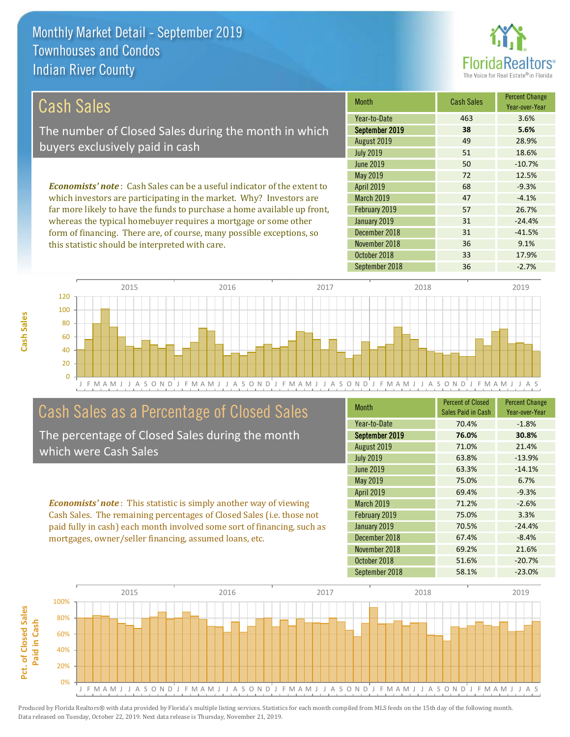this statistic should be interpreted with care.



36 9.1%

| Cash Sales                                                                     | <b>Month</b>      | <b>Cash Sales</b> | <b>Percent Change</b><br>Year-over-Year |
|--------------------------------------------------------------------------------|-------------------|-------------------|-----------------------------------------|
|                                                                                | Year-to-Date      | 463               | 3.6%                                    |
| The number of Closed Sales during the month in which                           | September 2019    | 38                | 5.6%                                    |
| buyers exclusively paid in cash                                                | August 2019       | 49                | 28.9%                                   |
|                                                                                | <b>July 2019</b>  | 51                | 18.6%                                   |
|                                                                                | June 2019         | 50                | $-10.7%$                                |
|                                                                                | May 2019          | 72                | 12.5%                                   |
| <b>Economists' note:</b> Cash Sales can be a useful indicator of the extent to | <b>April 2019</b> | 68                | $-9.3%$                                 |
| which investors are participating in the market. Why? Investors are            | <b>March 2019</b> | 47                | $-4.1%$                                 |
| far more likely to have the funds to purchase a home available up front,       | February 2019     | 57                | 26.7%                                   |
| whereas the typical homebuyer requires a mortgage or some other                | January 2019      | 31                | $-24.4%$                                |
| form of financing. There are, of course, many possible exceptions, so          | December 2018     | 31                | $-41.5%$                                |

J F M A M J J A S O N D J F M A M J J A S O N D J F M A M J J A S O N D J F M A M J J A S O N D J F M A M J J A S 0 20 40 60 80 100 120 2015 2016 2017 2018 2019

### Cash Sales as a Percentage of Closed Sales

The percentage of Closed Sales during the month which were Cash Sales

*Economists' note* : This statistic is simply another way of viewing Cash Sales. The remaining percentages of Closed Sales (i.e. those not paid fully in cash) each month involved some sort of financing, such as mortgages, owner/seller financing, assumed loans, etc.

| <b>Month</b>      | <b>Percent of Closed</b><br>Sales Paid in Cash | <b>Percent Change</b><br>Year-over-Year |
|-------------------|------------------------------------------------|-----------------------------------------|
| Year-to-Date      | 70.4%                                          | $-1.8%$                                 |
| September 2019    | 76.0%                                          | 30.8%                                   |
| August 2019       | 71.0%                                          | 21.4%                                   |
| <b>July 2019</b>  | 63.8%                                          | $-13.9%$                                |
| <b>June 2019</b>  | 63.3%                                          | $-14.1%$                                |
| May 2019          | 75.0%                                          | 6.7%                                    |
| <b>April 2019</b> | 69.4%                                          | $-9.3%$                                 |
| March 2019        | 71.2%                                          | $-2.6%$                                 |
| February 2019     | 75.0%                                          | 3.3%                                    |
| January 2019      | 70.5%                                          | $-24.4%$                                |
| December 2018     | 67.4%                                          | $-8.4%$                                 |
| November 2018     | 69.2%                                          | 21.6%                                   |
| October 2018      | 51.6%                                          | $-20.7%$                                |
| September 2018    | 58.1%                                          | $-23.0%$                                |

October 2018 **33** 17.9%

November 2018

September 2018 36 -2.7%

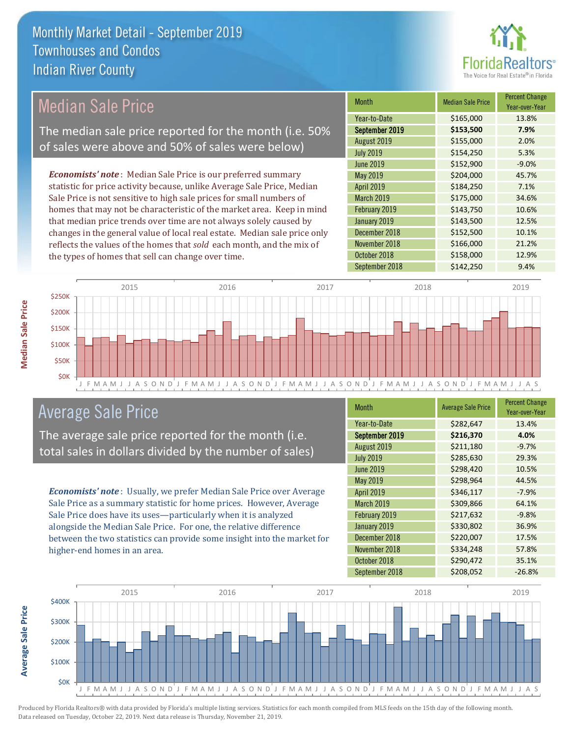

### Median Sale Price

The median sale price reported for the month (i.e. 50% of sales were above and 50% of sales were below)

*Economists' note* : Median Sale Price is our preferred summary statistic for price activity because, unlike Average Sale Price, Median Sale Price is not sensitive to high sale prices for small numbers of homes that may not be characteristic of the market area. Keep in mind that median price trends over time are not always solely caused by changes in the general value of local real estate. Median sale price only reflects the values of the homes that *sold* each month, and the mix of the types of homes that sell can change over time.

| <b>Month</b>      | <b>Median Sale Price</b> | <b>Percent Change</b><br>Year-over-Year |
|-------------------|--------------------------|-----------------------------------------|
| Year-to-Date      | \$165,000                | 13.8%                                   |
| September 2019    | \$153,500                | 7.9%                                    |
| August 2019       | \$155,000                | 2.0%                                    |
| <b>July 2019</b>  | \$154,250                | 5.3%                                    |
| <b>June 2019</b>  | \$152,900                | $-9.0%$                                 |
| May 2019          | \$204,000                | 45.7%                                   |
| April 2019        | \$184,250                | 7.1%                                    |
| <b>March 2019</b> | \$175,000                | 34.6%                                   |
| February 2019     | \$143,750                | 10.6%                                   |
| January 2019      | \$143,500                | 12.5%                                   |
| December 2018     | \$152,500                | 10.1%                                   |
| November 2018     | \$166,000                | 21.2%                                   |
| October 2018      | \$158,000                | 12.9%                                   |
| September 2018    | \$142,250                | 9.4%                                    |



### Average Sale Price

The average sale price reported for the month (i.e. total sales in dollars divided by the number of sales)

*Economists' note* : Usually, we prefer Median Sale Price over Average Sale Price as a summary statistic for home prices. However, Average Sale Price does have its uses—particularly when it is analyzed alongside the Median Sale Price. For one, the relative difference between the two statistics can provide some insight into the market for higher-end homes in an area.

| <b>Month</b>      | <b>Average Sale Price</b> | <b>Percent Change</b><br>Year-over-Year |
|-------------------|---------------------------|-----------------------------------------|
| Year-to-Date      | \$282,647                 | 13.4%                                   |
| September 2019    | \$216,370                 | 4.0%                                    |
| August 2019       | \$211,180                 | $-9.7%$                                 |
| <b>July 2019</b>  | \$285,630                 | 29.3%                                   |
| <b>June 2019</b>  | \$298,420                 | 10.5%                                   |
| May 2019          | \$298,964                 | 44.5%                                   |
| <b>April 2019</b> | \$346,117                 | $-7.9%$                                 |
| March 2019        | \$309,866                 | 64.1%                                   |
| February 2019     | \$217,632                 | $-9.8%$                                 |
| January 2019      | \$330,802                 | 36.9%                                   |
| December 2018     | \$220,007                 | 17.5%                                   |
| November 2018     | \$334,248                 | 57.8%                                   |
| October 2018      | \$290,472                 | 35.1%                                   |
| September 2018    | \$208,052                 | $-26.8%$                                |



Produced by Florida Realtors® with data provided by Florida's multiple listing services. Statistics for each month compiled from MLS feeds on the 15th day of the following month. Data released on Tuesday, October 22, 2019. Next data release is Thursday, November 21, 2019.

**Average Sale Price**

Average Sale Price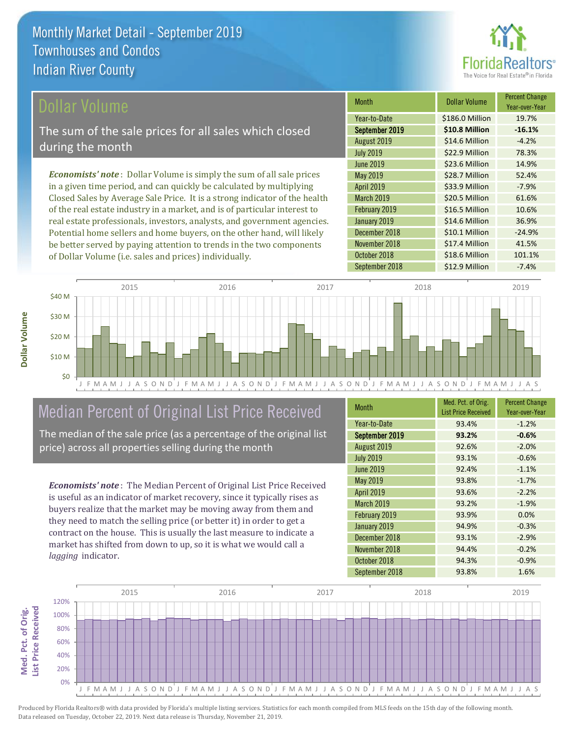

#### ollar Volume

The sum of the sale prices for all sales which closed during the month

*Economists' note* : Dollar Volume is simply the sum of all sale prices in a given time period, and can quickly be calculated by multiplying Closed Sales by Average Sale Price. It is a strong indicator of the health of the real estate industry in a market, and is of particular interest to real estate professionals, investors, analysts, and government agencies. Potential home sellers and home buyers, on the other hand, will likely be better served by paying attention to trends in the two components of Dollar Volume (i.e. sales and prices) individually.

| <b>Month</b>      | Dollar Volume   | <b>Percent Change</b><br>Year-over-Year |
|-------------------|-----------------|-----------------------------------------|
| Year-to-Date      | \$186.0 Million | 19.7%                                   |
| September 2019    | \$10.8 Million  | $-16.1%$                                |
| August 2019       | \$14.6 Million  | $-4.2%$                                 |
| <b>July 2019</b>  | \$22.9 Million  | 78.3%                                   |
| <b>June 2019</b>  | \$23.6 Million  | 14.9%                                   |
| May 2019          | \$28.7 Million  | 52.4%                                   |
| April 2019        | \$33.9 Million  | $-7.9%$                                 |
| <b>March 2019</b> | \$20.5 Million  | 61.6%                                   |
| February 2019     | \$16.5 Million  | 10.6%                                   |
| January 2019      | \$14.6 Million  | 36.9%                                   |
| December 2018     | \$10.1 Million  | $-24.9%$                                |
| November 2018     | \$17.4 Million  | 41.5%                                   |
| October 2018      | \$18.6 Million  | 101.1%                                  |
| September 2018    | \$12.9 Million  | $-7.4%$                                 |



# Median Percent of Original List Price Received

The median of the sale price (as a percentage of the original list price) across all properties selling during the month

*Economists' note* : The Median Percent of Original List Price Received is useful as an indicator of market recovery, since it typically rises as buyers realize that the market may be moving away from them and they need to match the selling price (or better it) in order to get a contract on the house. This is usually the last measure to indicate a market has shifted from down to up, so it is what we would call a *lagging* indicator.

| <b>Month</b>      | Med. Pct. of Orig.<br><b>List Price Received</b> | <b>Percent Change</b><br>Year-over-Year |
|-------------------|--------------------------------------------------|-----------------------------------------|
| Year-to-Date      | 93.4%                                            | $-1.2%$                                 |
| September 2019    | 93.2%                                            | $-0.6%$                                 |
| August 2019       | 92.6%                                            | $-2.0%$                                 |
| <b>July 2019</b>  | 93.1%                                            | $-0.6%$                                 |
| <b>June 2019</b>  | 92.4%                                            | $-1.1%$                                 |
| May 2019          | 93.8%                                            | $-1.7%$                                 |
| <b>April 2019</b> | 93.6%                                            | $-2.2%$                                 |
| <b>March 2019</b> | 93.2%                                            | $-1.9%$                                 |
| February 2019     | 93.9%                                            | 0.0%                                    |
| January 2019      | 94.9%                                            | $-0.3%$                                 |
| December 2018     | 93.1%                                            | $-2.9%$                                 |
| November 2018     | 94.4%                                            | $-0.2%$                                 |
| October 2018      | 94.3%                                            | $-0.9%$                                 |
| September 2018    | 93.8%                                            | 1.6%                                    |

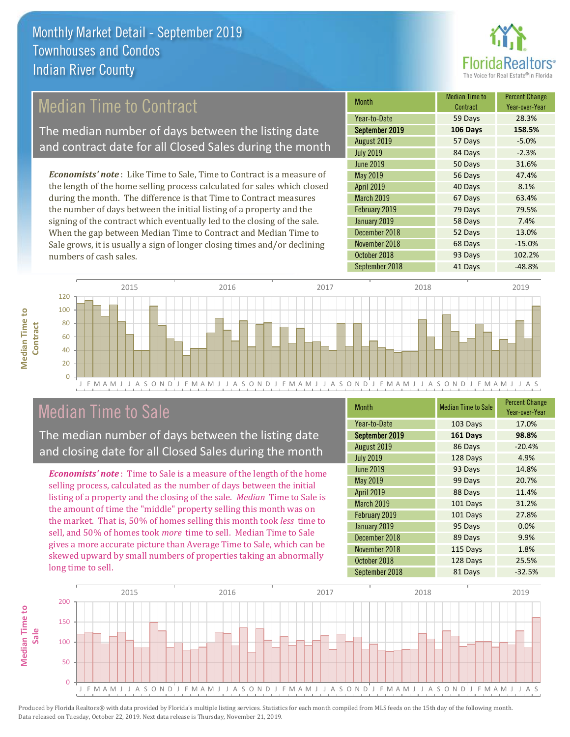

### Median Time to Contract

The median number of days between the listing date and contract date for all Closed Sales during the month

*Economists' note* : Like Time to Sale, Time to Contract is a measure of the length of the home selling process calculated for sales which closed during the month. The difference is that Time to Contract measures the number of days between the initial listing of a property and the signing of the contract which eventually led to the closing of the sale. When the gap between Median Time to Contract and Median Time to Sale grows, it is usually a sign of longer closing times and/or declining numbers of cash sales.

| <b>Month</b>      | <b>Median Time to</b><br>Contract | <b>Percent Change</b><br>Year-over-Year |
|-------------------|-----------------------------------|-----------------------------------------|
| Year-to-Date      | 59 Days                           | 28.3%                                   |
| September 2019    | 106 Days                          | 158.5%                                  |
| August 2019       | 57 Days                           | $-5.0%$                                 |
| <b>July 2019</b>  | 84 Days                           | $-2.3%$                                 |
| <b>June 2019</b>  | 50 Days                           | 31.6%                                   |
| <b>May 2019</b>   | 56 Days                           | 47.4%                                   |
| April 2019        | 40 Days                           | 8.1%                                    |
| <b>March 2019</b> | 67 Days                           | 63.4%                                   |
| February 2019     | 79 Days                           | 79.5%                                   |
| January 2019      | 58 Days                           | 7.4%                                    |
| December 2018     | 52 Days                           | 13.0%                                   |
| November 2018     | 68 Days                           | $-15.0%$                                |
| October 2018      | 93 Days                           | 102.2%                                  |
| September 2018    | 41 Days                           | $-48.8%$                                |



### Median Time to Sale

**Median Time to Contract**

**Median Time to** 

The median number of days between the listing date and closing date for all Closed Sales during the month

*Economists' note* : Time to Sale is a measure of the length of the home selling process, calculated as the number of days between the initial listing of a property and the closing of the sale. *Median* Time to Sale is the amount of time the "middle" property selling this month was on the market. That is, 50% of homes selling this month took *less* time to sell, and 50% of homes took *more* time to sell. Median Time to Sale gives a more accurate picture than Average Time to Sale, which can be skewed upward by small numbers of properties taking an abnormally long time to sell.

| <b>Month</b>      | <b>Median Time to Sale</b> | <b>Percent Change</b><br>Year-over-Year |
|-------------------|----------------------------|-----------------------------------------|
| Year-to-Date      | 103 Days                   | 17.0%                                   |
| September 2019    | 161 Days                   | 98.8%                                   |
| August 2019       | 86 Days                    | $-20.4%$                                |
| <b>July 2019</b>  | 128 Days                   | 4.9%                                    |
| <b>June 2019</b>  | 93 Days                    | 14.8%                                   |
| May 2019          | 99 Days                    | 20.7%                                   |
| <b>April 2019</b> | 88 Days                    | 11.4%                                   |
| <b>March 2019</b> | 101 Days                   | 31.2%                                   |
| February 2019     | 101 Days                   | 27.8%                                   |
| January 2019      | 95 Days                    | 0.0%                                    |
| December 2018     | 89 Days                    | 9.9%                                    |
| November 2018     | 115 Days                   | 1.8%                                    |
| October 2018      | 128 Days                   | 25.5%                                   |
| September 2018    | 81 Days                    | $-32.5%$                                |

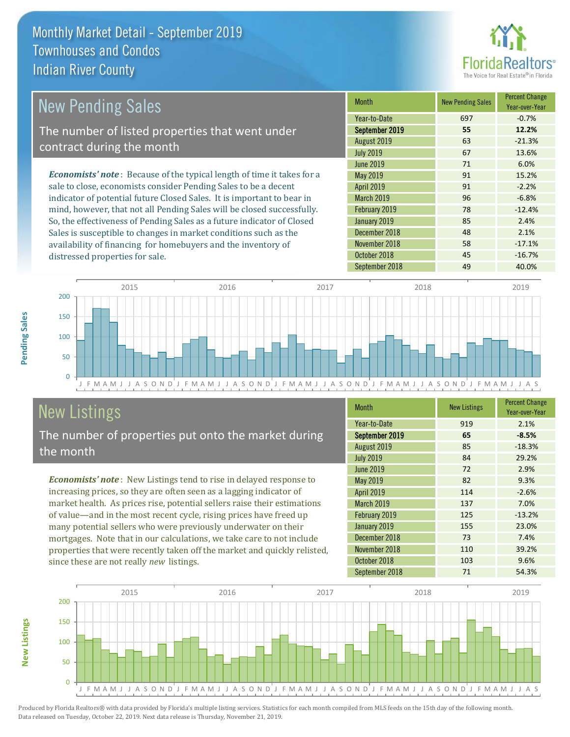

| <b>New Pending Sales</b>                                                       | <b>Month</b>      | <b>New Pending Sales</b> | <b>Percent Change</b><br>Year-over-Year |
|--------------------------------------------------------------------------------|-------------------|--------------------------|-----------------------------------------|
|                                                                                | Year-to-Date      | 697                      | $-0.7%$                                 |
| The number of listed properties that went under                                | September 2019    | 55                       | 12.2%                                   |
| contract during the month                                                      | August 2019       | 63                       | $-21.3%$                                |
|                                                                                | <b>July 2019</b>  | 67                       | 13.6%                                   |
|                                                                                | <b>June 2019</b>  | 71                       | 6.0%                                    |
| <b>Economists' note</b> : Because of the typical length of time it takes for a | May 2019          | 91                       | 15.2%                                   |
| sale to close, economists consider Pending Sales to be a decent                | <b>April 2019</b> | 91                       | $-2.2%$                                 |
| indicator of potential future Closed Sales. It is important to bear in         | <b>March 2019</b> | 96                       | $-6.8%$                                 |
| mind, however, that not all Pending Sales will be closed successfully.         | February 2019     | 78                       | $-12.4%$                                |
| So, the effectiveness of Pending Sales as a future indicator of Closed         | January 2019      | 85                       | 2.4%                                    |
| Sales is susceptible to changes in market conditions such as the               | December 2018     | 48                       | 2.1%                                    |
| availability of financing for homebuyers and the inventory of                  | November 2018     | 58                       | $-17.1%$                                |



## New Listings

distressed properties for sale.

The number of properties put onto the market during the month

*Economists' note* : New Listings tend to rise in delayed response to increasing prices, so they are often seen as a lagging indicator of market health. As prices rise, potential sellers raise their estimations of value—and in the most recent cycle, rising prices have freed up many potential sellers who were previously underwater on their mortgages. Note that in our calculations, we take care to not include properties that were recently taken off the market and quickly relisted, since these are not really *new* listings.

| <b>Month</b>     | <b>New Listings</b> | <b>Percent Change</b><br>Year-over-Year |
|------------------|---------------------|-----------------------------------------|
| Year-to-Date     | 919                 | 2.1%                                    |
| September 2019   | 65                  | $-8.5%$                                 |
| August 2019      | 85                  | $-18.3%$                                |
| <b>July 2019</b> | 84                  | 29.2%                                   |
| <b>June 2019</b> | 72                  | 2.9%                                    |
| May 2019         | 82                  | 9.3%                                    |
| April 2019       | 114                 | $-2.6%$                                 |
| March 2019       | 137                 | 7.0%                                    |
| February 2019    | 125                 | $-13.2%$                                |
| January 2019     | 155                 | 23.0%                                   |
| December 2018    | 73                  | 7.4%                                    |
| November 2018    | 110                 | 39.2%                                   |
| October 2018     | 103                 | 9.6%                                    |
| September 2018   | 71                  | 54.3%                                   |

October 2018 **45** -16.7%



Produced by Florida Realtors® with data provided by Florida's multiple listing services. Statistics for each month compiled from MLS feeds on the 15th day of the following month. Data released on Tuesday, October 22, 2019. Next data release is Thursday, November 21, 2019.

**New Listings**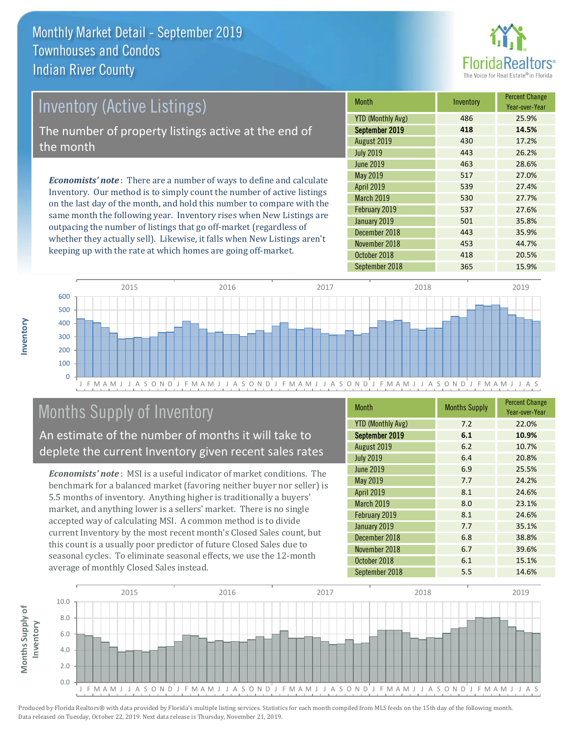

# *Economists' note* : There are a number of ways to define and calculate Inventory (Active Listings) The number of property listings active at the end of the month

Inventory. Our method is to simply count the number of active listings on the last day of the month, and hold this number to compare with the same month the following year. Inventory rises when New Listings are outpacing the number of listings that go off-market (regardless of whether they actually sell). Likewise, it falls when New Listings aren't keeping up with the rate at which homes are going off-market.

| Month                    | Inventory | <b>Percent Change</b><br>Year-over-Year |
|--------------------------|-----------|-----------------------------------------|
| <b>YTD (Monthly Avg)</b> | 486       | 25.9%                                   |
| September 2019           | 418       | 14.5%                                   |
| August 2019              | 430       | 17.2%                                   |
| <b>July 2019</b>         | 443       | 26.2%                                   |
| <b>June 2019</b>         | 463       | 28.6%                                   |
| <b>May 2019</b>          | 517       | 27.0%                                   |
| <b>April 2019</b>        | 539       | 27.4%                                   |
| March 2019               | 530       | 27.7%                                   |
| February 2019            | 537       | 27.6%                                   |
| January 2019             | 501       | 35.8%                                   |
| December 2018            | 443       | 35.9%                                   |
| November 2018            | 453       | 44.7%                                   |
| October 2018             | 418       | 20.5%                                   |
| September 2018           | 365       | 15.9%                                   |



## Months Supply of Inventory

An estimate of the number of months it will take to deplete the current Inventory given recent sales rates

*Economists' note* : MSI is a useful indicator of market conditions. The benchmark for a balanced market (favoring neither buyer nor seller) is 5.5 months of inventory. Anything higher is traditionally a buyers' market, and anything lower is a sellers' market. There is no single accepted way of calculating MSI. A common method is to divide current Inventory by the most recent month's Closed Sales count, but this count is a usually poor predictor of future Closed Sales due to seasonal cycles. To eliminate seasonal effects, we use the 12-month average of monthly Closed Sales instead.

| <b>Month</b>             | <b>Months Supply</b> | <b>Percent Change</b><br>Year-over-Year |
|--------------------------|----------------------|-----------------------------------------|
| <b>YTD (Monthly Avg)</b> | 7.2                  | 22.0%                                   |
| September 2019           | 6.1                  | 10.9%                                   |
| August 2019              | 6.2                  | 10.7%                                   |
| <b>July 2019</b>         | 6.4                  | 20.8%                                   |
| <b>June 2019</b>         | 6.9                  | 25.5%                                   |
| May 2019                 | 7.7                  | 24.2%                                   |
| <b>April 2019</b>        | 8.1                  | 24.6%                                   |
| March 2019               | 8.0                  | 23.1%                                   |
| February 2019            | 8.1                  | 24.6%                                   |
| January 2019             | 7.7                  | 35.1%                                   |
| December 2018            | 6.8                  | 38.8%                                   |
| November 2018            | 6.7                  | 39.6%                                   |
| October 2018             | 6.1                  | 15.1%                                   |
| September 2018           | 5.5                  | 14.6%                                   |

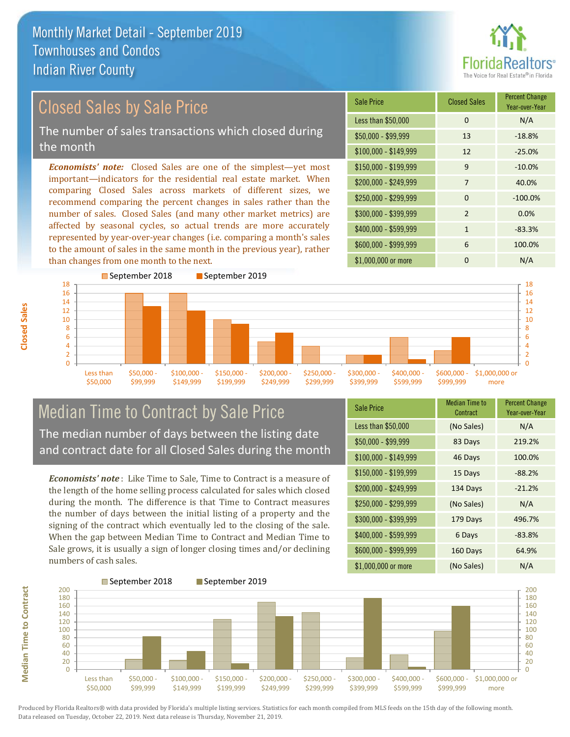

### Closed Sales by Sale Price

The number of sales transactions which closed during the month

*Economists' note:* Closed Sales are one of the simplest—yet most important—indicators for the residential real estate market. When comparing Closed Sales across markets of different sizes, we recommend comparing the percent changes in sales rather than the number of sales. Closed Sales (and many other market metrics) are affected by seasonal cycles, so actual trends are more accurately represented by year-over-year changes (i.e. comparing a month's sales to the amount of sales in the same month in the previous year), rather than changes from one month to the next.





#### Median Time to Contract by Sale Price The median number of days between the listing date and contract date for all Closed Sales during the month

*Economists' note* : Like Time to Sale, Time to Contract is a measure of the length of the home selling process calculated for sales which closed during the month. The difference is that Time to Contract measures the number of days between the initial listing of a property and the signing of the contract which eventually led to the closing of the sale. When the gap between Median Time to Contract and Median Time to Sale grows, it is usually a sign of longer closing times and/or declining numbers of cash sales.

| <b>Sale Price</b>     | <b>Median Time to</b><br>Contract | <b>Percent Change</b><br>Year-over-Year |
|-----------------------|-----------------------------------|-----------------------------------------|
| Less than \$50,000    | (No Sales)                        | N/A                                     |
| $$50,000 - $99,999$   | 83 Days                           | 219.2%                                  |
| \$100,000 - \$149,999 | 46 Days                           | 100.0%                                  |
| $$150,000 - $199,999$ | 15 Days                           | $-88.2%$                                |
| \$200,000 - \$249,999 | 134 Days                          | $-21.2%$                                |
| \$250,000 - \$299,999 | (No Sales)                        | N/A                                     |
| \$300,000 - \$399,999 | 179 Days                          | 496.7%                                  |
| \$400,000 - \$599,999 | 6 Days                            | $-83.8%$                                |
| \$600,000 - \$999,999 | 160 Days                          | 64.9%                                   |
| \$1,000,000 or more   | (No Sales)                        | N/A                                     |



Produced by Florida Realtors® with data provided by Florida's multiple listing services. Statistics for each month compiled from MLS feeds on the 15th day of the following month. Data released on Tuesday, October 22, 2019. Next data release is Thursday, November 21, 2019.

**Median Time to Contract**

**Median Time to Contract**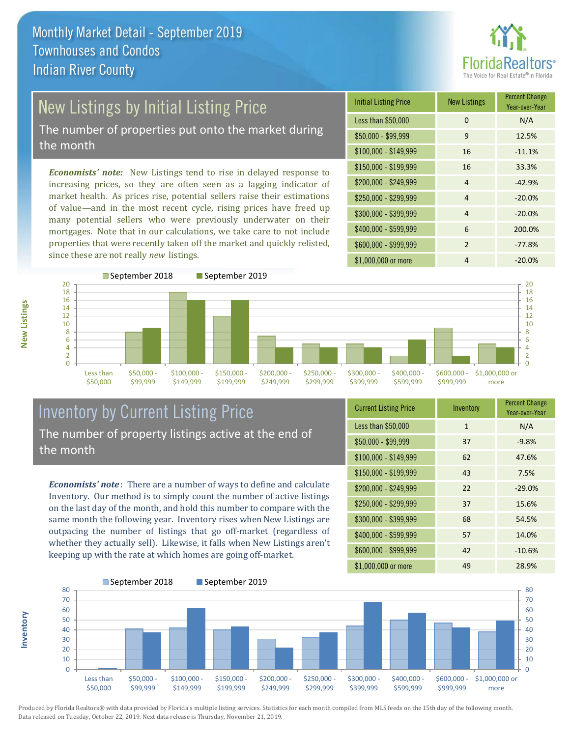

# New Listings by Initial Listing Price

The number of properties put onto the market during the month

*Economists' note:* New Listings tend to rise in delayed response to increasing prices, so they are often seen as a lagging indicator of market health. As prices rise, potential sellers raise their estimations of value—and in the most recent cycle, rising prices have freed up many potential sellers who were previously underwater on their mortgages. Note that in our calculations, we take care to not include properties that were recently taken off the market and quickly relisted, since these are not really *new* listings.

| <b>Initial Listing Price</b> | <b>New Listings</b> | <b>Percent Change</b><br>Year-over-Year |
|------------------------------|---------------------|-----------------------------------------|
| Less than \$50,000           | $\Omega$            | N/A                                     |
| $$50,000 - $99,999$          | 9                   | 12.5%                                   |
| $$100,000 - $149,999$        | 16                  | $-11.1%$                                |
| $$150,000 - $199,999$        | 16                  | 33.3%                                   |
| \$200,000 - \$249,999        | $\overline{4}$      | $-42.9%$                                |
| \$250,000 - \$299,999        | $\overline{4}$      | $-20.0%$                                |
| \$300,000 - \$399,999        | 4                   | $-20.0%$                                |
| \$400,000 - \$599,999        | 6                   | 200.0%                                  |
| \$600,000 - \$999,999        | $\mathcal{P}$       | $-77.8%$                                |
| \$1,000,000 or more          | 4                   | $-20.0%$                                |



#### Inventory by Current Listing Price The number of property listings active at the end of the month

*Economists' note* : There are a number of ways to define and calculate Inventory. Our method is to simply count the number of active listings on the last day of the month, and hold this number to compare with the same month the following year. Inventory rises when New Listings are outpacing the number of listings that go off-market (regardless of whether they actually sell). Likewise, it falls when New Listings aren't keeping up with the rate at which homes are going off-market.

| <b>Current Listing Price</b> | Inventory    | <b>Percent Change</b><br>Year-over-Year |
|------------------------------|--------------|-----------------------------------------|
| Less than \$50,000           | $\mathbf{1}$ | N/A                                     |
| $$50,000 - $99,999$          | 37           | $-9.8%$                                 |
| \$100,000 - \$149,999        | 62           | 47.6%                                   |
| $$150,000 - $199,999$        | 43           | 7.5%                                    |
| \$200,000 - \$249,999        | 22           | $-29.0%$                                |
| \$250,000 - \$299,999        | 37           | 15.6%                                   |
| \$300,000 - \$399,999        | 68           | 54.5%                                   |
| \$400,000 - \$599,999        | 57           | 14.0%                                   |
| \$600,000 - \$999,999        | 42           | $-10.6%$                                |
| \$1,000,000 or more          | 49           | 28.9%                                   |



Produced by Florida Realtors® with data provided by Florida's multiple listing services. Statistics for each month compiled from MLS feeds on the 15th day of the following month. Data released on Tuesday, October 22, 2019. Next data release is Thursday, November 21, 2019.

**Inventory**